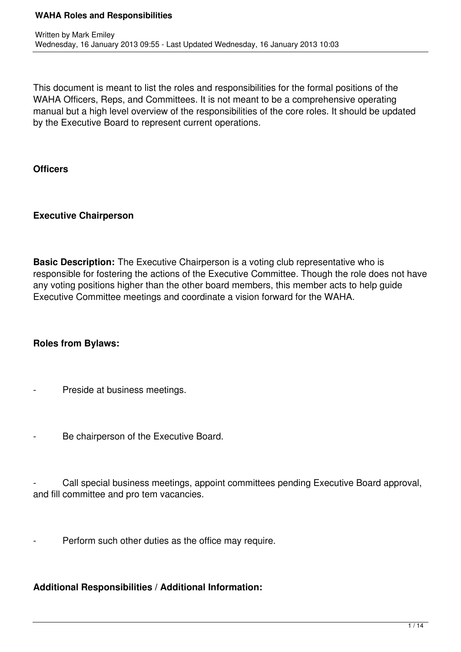This document is meant to list the roles and responsibilities for the formal positions of the WAHA Officers, Reps, and Committees. It is not meant to be a comprehensive operating manual but a high level overview of the responsibilities of the core roles. It should be updated by the Executive Board to represent current operations.

### **Officers**

# **Executive Chairperson**

**Basic Description:** The Executive Chairperson is a voting club representative who is responsible for fostering the actions of the Executive Committee. Though the role does not have any voting positions higher than the other board members, this member acts to help guide Executive Committee meetings and coordinate a vision forward for the WAHA.

# **Roles from Bylaws:**

- Preside at business meetings.
- Be chairperson of the Executive Board.

Call special business meetings, appoint committees pending Executive Board approval, and fill committee and pro tem vacancies.

Perform such other duties as the office may require.

# **Additional Responsibilities / Additional Information:**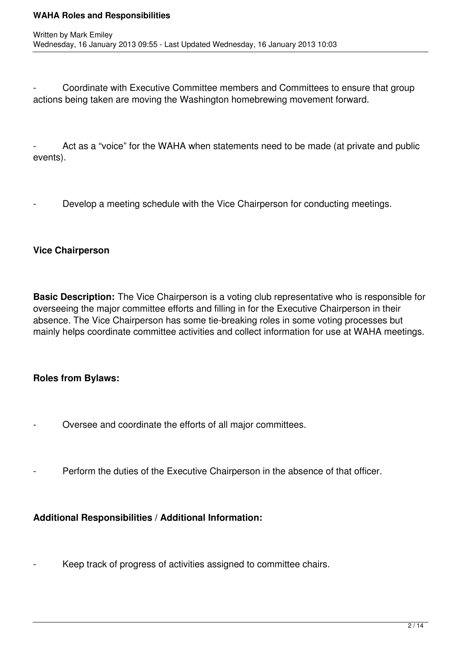Coordinate with Executive Committee members and Committees to ensure that group actions being taken are moving the Washington homebrewing movement forward.

Act as a "voice" for the WAHA when statements need to be made (at private and public events).

Develop a meeting schedule with the Vice Chairperson for conducting meetings.

### **Vice Chairperson**

**Basic Description:** The Vice Chairperson is a voting club representative who is responsible for overseeing the major committee efforts and filling in for the Executive Chairperson in their absence. The Vice Chairperson has some tie-breaking roles in some voting processes but mainly helps coordinate committee activities and collect information for use at WAHA meetings.

### **Roles from Bylaws:**

- Oversee and coordinate the efforts of all major committees.
- Perform the duties of the Executive Chairperson in the absence of that officer.

# **Additional Responsibilities / Additional Information:**

Keep track of progress of activities assigned to committee chairs.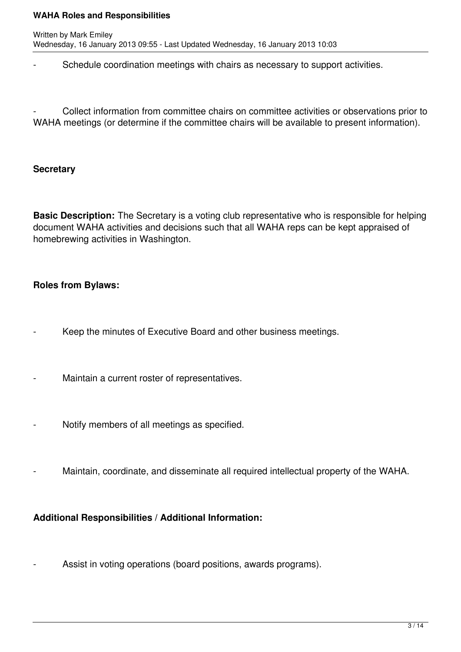Schedule coordination meetings with chairs as necessary to support activities.

Collect information from committee chairs on committee activities or observations prior to WAHA meetings (or determine if the committee chairs will be available to present information).

### **Secretary**

**Basic Description:** The Secretary is a voting club representative who is responsible for helping document WAHA activities and decisions such that all WAHA reps can be kept appraised of homebrewing activities in Washington.

# **Roles from Bylaws:**

- Keep the minutes of Executive Board and other business meetings.
- Maintain a current roster of representatives.
- Notify members of all meetings as specified.
- Maintain, coordinate, and disseminate all required intellectual property of the WAHA.

# **Additional Responsibilities / Additional Information:**

- Assist in voting operations (board positions, awards programs).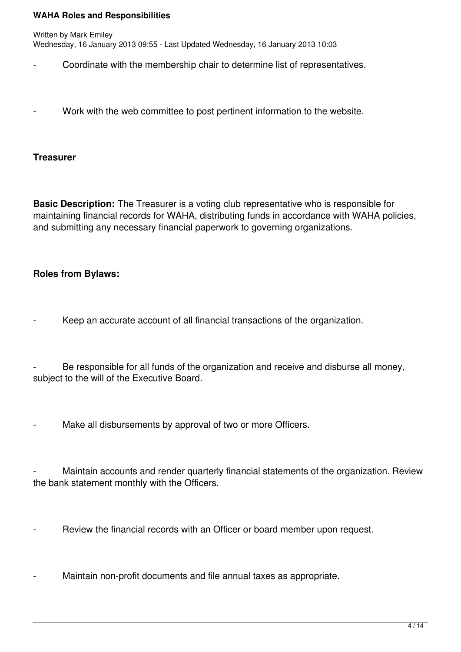- Coordinate with the membership chair to determine list of representatives.
- Work with the web committee to post pertinent information to the website.

### **Treasurer**

**Basic Description:** The Treasurer is a voting club representative who is responsible for maintaining financial records for WAHA, distributing funds in accordance with WAHA policies, and submitting any necessary financial paperwork to governing organizations.

# **Roles from Bylaws:**

Keep an accurate account of all financial transactions of the organization.

Be responsible for all funds of the organization and receive and disburse all money, subject to the will of the Executive Board.

Make all disbursements by approval of two or more Officers.

Maintain accounts and render quarterly financial statements of the organization. Review the bank statement monthly with the Officers.

- Review the financial records with an Officer or board member upon request.
- Maintain non-profit documents and file annual taxes as appropriate.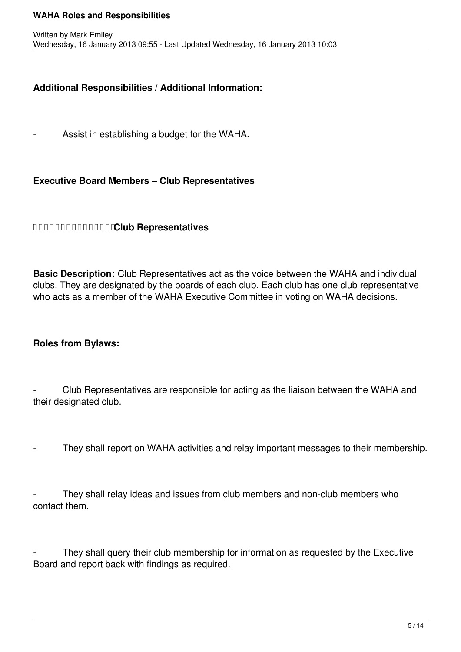### **Additional Responsibilities / Additional Information:**

Assist in establishing a budget for the WAHA.

### **Executive Board Members – Club Representatives**

### **Club Representatives**

**Basic Description:** Club Representatives act as the voice between the WAHA and individual clubs. They are designated by the boards of each club. Each club has one club representative who acts as a member of the WAHA Executive Committee in voting on WAHA decisions.

### **Roles from Bylaws:**

Club Representatives are responsible for acting as the liaison between the WAHA and their designated club.

They shall report on WAHA activities and relay important messages to their membership.

They shall relay ideas and issues from club members and non-club members who contact them.

They shall query their club membership for information as requested by the Executive Board and report back with findings as required.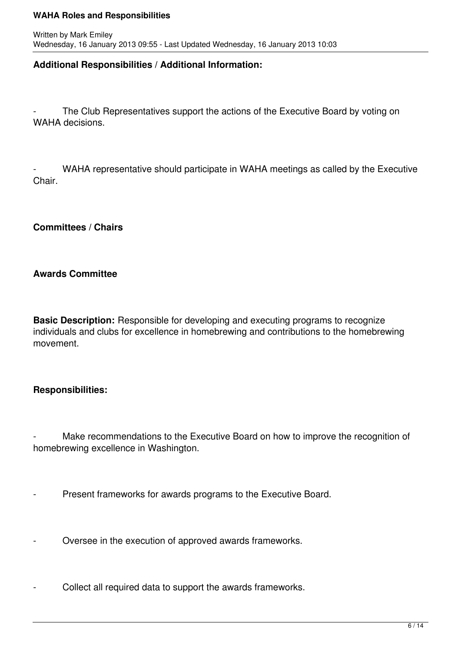### **Additional Responsibilities / Additional Information:**

The Club Representatives support the actions of the Executive Board by voting on WAHA decisions.

WAHA representative should participate in WAHA meetings as called by the Executive Chair.

**Committees / Chairs** 

### **Awards Committee**

**Basic Description:** Responsible for developing and executing programs to recognize individuals and clubs for excellence in homebrewing and contributions to the homebrewing movement.

# **Responsibilities:**

Make recommendations to the Executive Board on how to improve the recognition of homebrewing excellence in Washington.

- **Present frameworks for awards programs to the Executive Board.**
- Oversee in the execution of approved awards frameworks.
- Collect all required data to support the awards frameworks.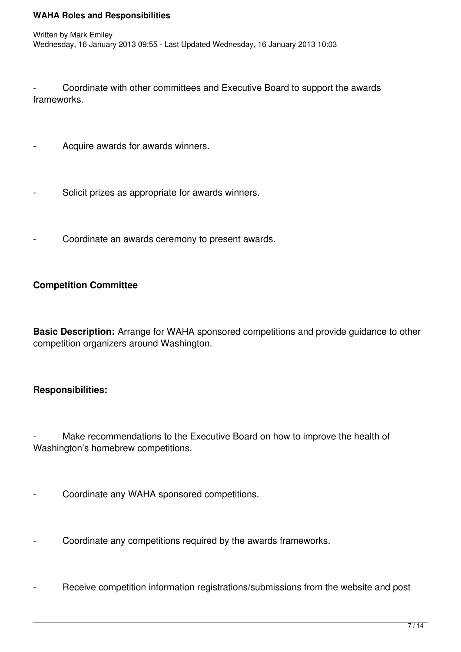- Coordinate with other committees and Executive Board to support the awards frameworks.

- Acquire awards for awards winners.
- Solicit prizes as appropriate for awards winners.
- Coordinate an awards ceremony to present awards.

# **Competition Committee**

**Basic Description:** Arrange for WAHA sponsored competitions and provide guidance to other competition organizers around Washington.

# **Responsibilities:**

Make recommendations to the Executive Board on how to improve the health of Washington's homebrew competitions.

- Coordinate any WAHA sponsored competitions.
- Coordinate any competitions required by the awards frameworks.
- Receive competition information registrations/submissions from the website and post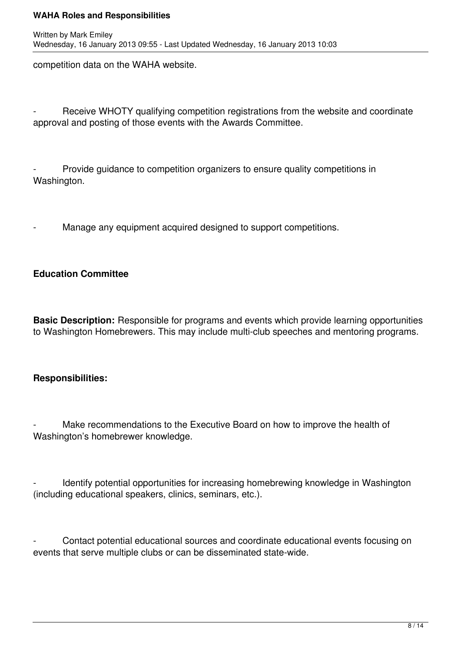competition data on the WAHA website.

Receive WHOTY qualifying competition registrations from the website and coordinate approval and posting of those events with the Awards Committee.

Provide guidance to competition organizers to ensure quality competitions in Washington.

Manage any equipment acquired designed to support competitions.

# **Education Committee**

**Basic Description:** Responsible for programs and events which provide learning opportunities to Washington Homebrewers. This may include multi-club speeches and mentoring programs.

### **Responsibilities:**

Make recommendations to the Executive Board on how to improve the health of Washington's homebrewer knowledge.

Identify potential opportunities for increasing homebrewing knowledge in Washington (including educational speakers, clinics, seminars, etc.).

Contact potential educational sources and coordinate educational events focusing on events that serve multiple clubs or can be disseminated state-wide.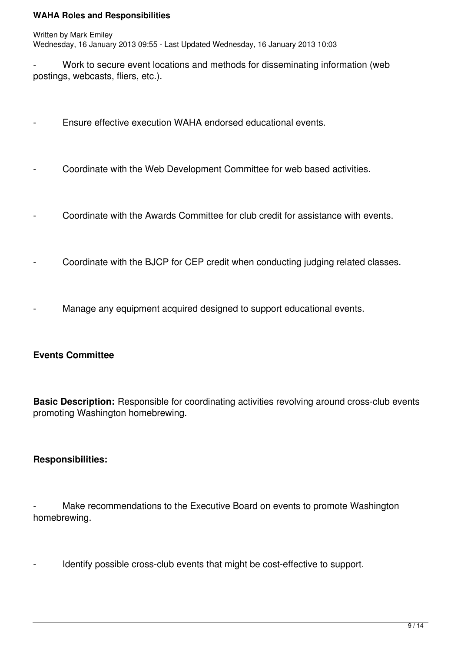Work to secure event locations and methods for disseminating information (web postings, webcasts, fliers, etc.).

- Ensure effective execution WAHA endorsed educational events.
- Coordinate with the Web Development Committee for web based activities.
- Coordinate with the Awards Committee for club credit for assistance with events.
- Coordinate with the BJCP for CEP credit when conducting judging related classes.
- Manage any equipment acquired designed to support educational events.

# **Events Committee**

**Basic Description:** Responsible for coordinating activities revolving around cross-club events promoting Washington homebrewing.

# **Responsibilities:**

Make recommendations to the Executive Board on events to promote Washington homebrewing.

- Identify possible cross-club events that might be cost-effective to support.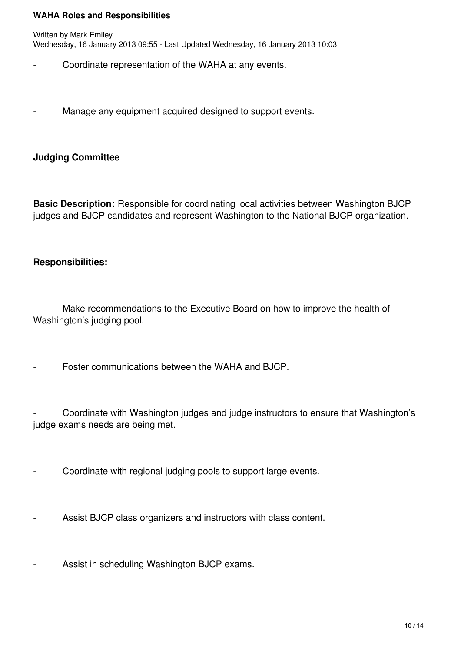- Coordinate representation of the WAHA at any events.
- Manage any equipment acquired designed to support events.

### **Judging Committee**

**Basic Description:** Responsible for coordinating local activities between Washington BJCP judges and BJCP candidates and represent Washington to the National BJCP organization.

### **Responsibilities:**

Make recommendations to the Executive Board on how to improve the health of Washington's judging pool.

Foster communications between the WAHA and BJCP.

Coordinate with Washington judges and judge instructors to ensure that Washington's judge exams needs are being met.

Coordinate with regional judging pools to support large events.

Assist BJCP class organizers and instructors with class content.

- Assist in scheduling Washington BJCP exams.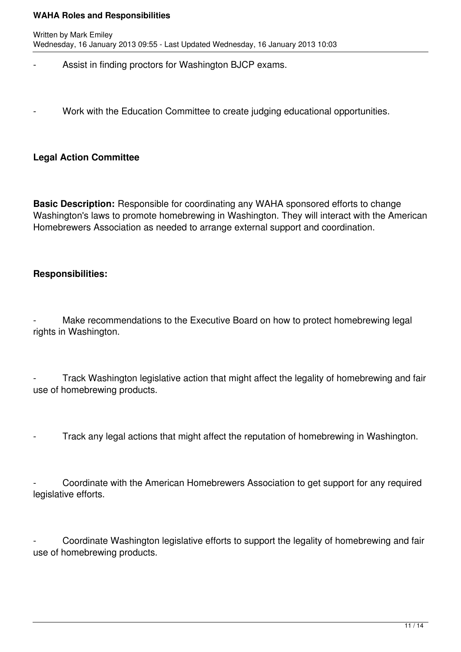- Assist in finding proctors for Washington BJCP exams.
- Work with the Education Committee to create judging educational opportunities.

# **Legal Action Committee**

**Basic Description:** Responsible for coordinating any WAHA sponsored efforts to change Washington's laws to promote homebrewing in Washington. They will interact with the American Homebrewers Association as needed to arrange external support and coordination.

### **Responsibilities:**

Make recommendations to the Executive Board on how to protect homebrewing legal rights in Washington.

Track Washington legislative action that might affect the legality of homebrewing and fair use of homebrewing products.

Track any legal actions that might affect the reputation of homebrewing in Washington.

Coordinate with the American Homebrewers Association to get support for any required legislative efforts.

Coordinate Washington legislative efforts to support the legality of homebrewing and fair use of homebrewing products.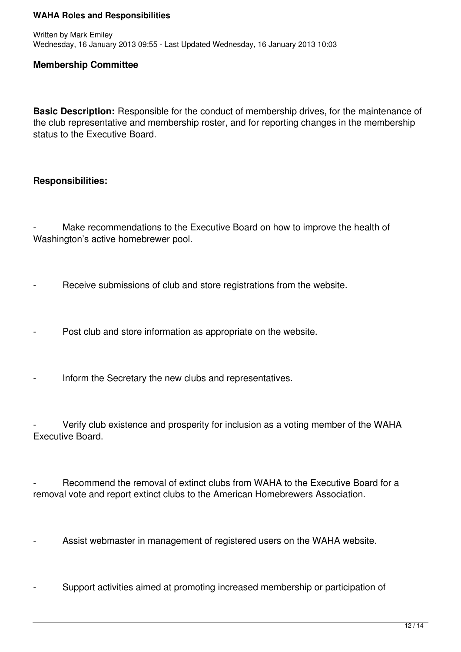#### **Membership Committee**

**Basic Description:** Responsible for the conduct of membership drives, for the maintenance of the club representative and membership roster, and for reporting changes in the membership status to the Executive Board.

### **Responsibilities:**

Make recommendations to the Executive Board on how to improve the health of Washington's active homebrewer pool.

- Receive submissions of club and store registrations from the website.

Post club and store information as appropriate on the website.

Inform the Secretary the new clubs and representatives.

Verify club existence and prosperity for inclusion as a voting member of the WAHA Executive Board.

Recommend the removal of extinct clubs from WAHA to the Executive Board for a removal vote and report extinct clubs to the American Homebrewers Association.

Assist webmaster in management of registered users on the WAHA website.

Support activities aimed at promoting increased membership or participation of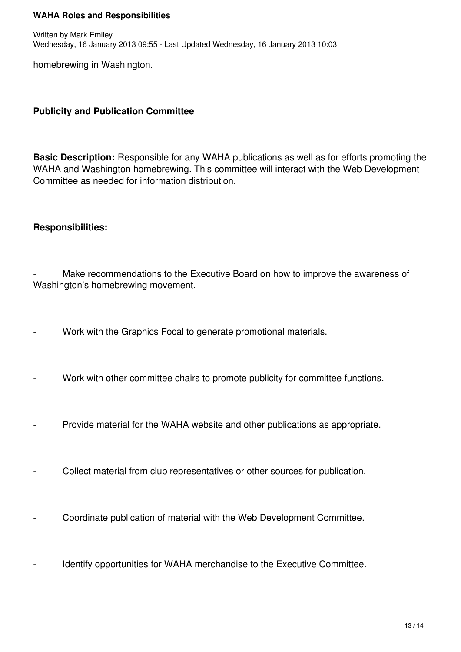homebrewing in Washington.

# **Publicity and Publication Committee**

**Basic Description:** Responsible for any WAHA publications as well as for efforts promoting the WAHA and Washington homebrewing. This committee will interact with the Web Development Committee as needed for information distribution.

### **Responsibilities:**

Make recommendations to the Executive Board on how to improve the awareness of Washington's homebrewing movement.

- Work with the Graphics Focal to generate promotional materials.
- Work with other committee chairs to promote publicity for committee functions.
- Provide material for the WAHA website and other publications as appropriate.
- Collect material from club representatives or other sources for publication.
- Coordinate publication of material with the Web Development Committee.
- Identify opportunities for WAHA merchandise to the Executive Committee.